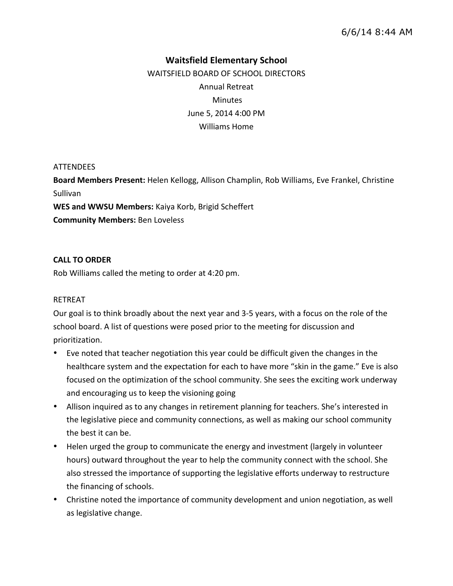# **Waitsfield\*Elementary\*School**

WAITSFIELD BOARD OF SCHOOL DIRECTORS Annual Retreat **Minutes** June 5, 2014 4:00 PM Williams Home

### ATTENDEES

**Board Members Present:** Helen Kellogg, Allison Champlin, Rob Williams, Eve Frankel, Christine Sullivan WES and WWSU Members: Kaiya Korb, Brigid Scheffert

**Community Members: Ben Loveless** 

### **CALL\*TO\*ORDER**

Rob Williams called the meting to order at 4:20 pm.

### RETREAT

Our goal is to think broadly about the next year and 3-5 years, with a focus on the role of the school board. A list of questions were posed prior to the meeting for discussion and prioritization.

- Eve noted that teacher negotiation this year could be difficult given the changes in the healthcare system and the expectation for each to have more "skin in the game." Eve is also focused on the optimization of the school community. She sees the exciting work underway and encouraging us to keep the visioning going
- Allison inquired as to any changes in retirement planning for teachers. She's interested in the legislative piece and community connections, as well as making our school community the best it can be.
- Helen urged the group to communicate the energy and investment (largely in volunteer hours) outward throughout the year to help the community connect with the school. She also stressed the importance of supporting the legislative efforts underway to restructure the financing of schools.
- Christine noted the importance of community development and union negotiation, as well as legislative change.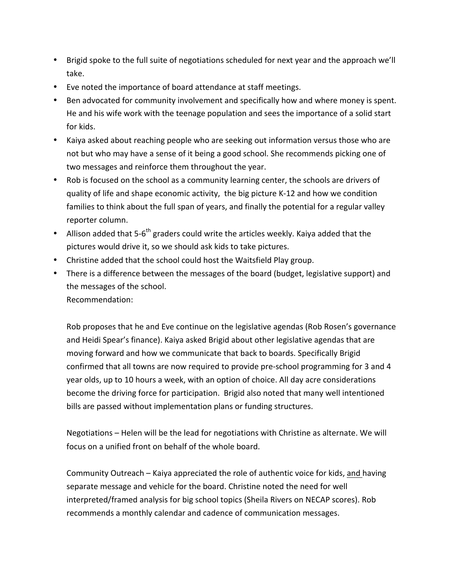- \* Brigid spoke to the full suite of negotiations scheduled for next year and the approach we'll take.
- Eve noted the importance of board attendance at staff meetings.
- Ben advocated for community involvement and specifically how and where money is spent. He and his wife work with the teenage population and sees the importance of a solid start for kids.
- Kaiya asked about reaching people who are seeking out information versus those who are not but who may have a sense of it being a good school. She recommends picking one of two messages and reinforce them throughout the year.
- Rob is focused on the school as a community learning center, the schools are drivers of quality of life and shape economic activity, the big picture K-12 and how we condition families to think about the full span of years, and finally the potential for a regular valley reporter column.
- Allison added that 5-6<sup>th</sup> graders could write the articles weekly. Kaiya added that the pictures would drive it, so we should ask kids to take pictures.
- Christine added that the school could host the Waitsfield Play group.
- There is a difference between the messages of the board (budget, legislative support) and the messages of the school. Recommendation:\*

Rob proposes that he and Eve continue on the legislative agendas (Rob Rosen's governance and Heidi Spear's finance). Kaiya asked Brigid about other legislative agendas that are moving forward and how we communicate that back to boards. Specifically Brigid confirmed that all towns are now required to provide pre-school programming for 3 and 4 year olds, up to 10 hours a week, with an option of choice. All day acre considerations become the driving force for participation. Brigid also noted that many well intentioned bills are passed without implementation plans or funding structures.

Negotiations – Helen will be the lead for negotiations with Christine as alternate. We will focus on a unified front on behalf of the whole board.

Community Outreach – Kaiya appreciated the role of authentic voice for kids, and having separate message and vehicle for the board. Christine noted the need for well interpreted/framed analysis for big school topics (Sheila Rivers on NECAP scores). Rob recommends a monthly calendar and cadence of communication messages.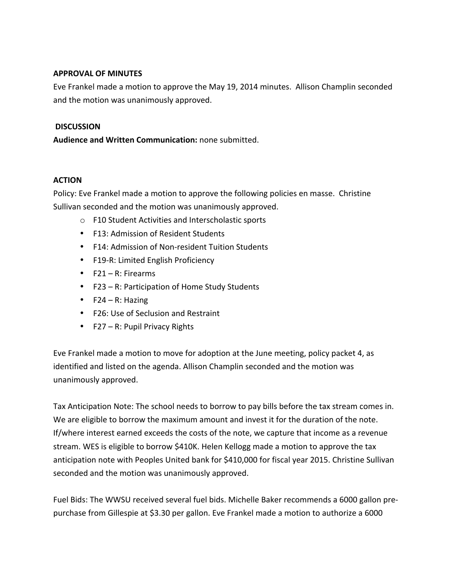## **APPROVAL OF MINUTES**

Eve Frankel made a motion to approve the May 19, 2014 minutes. Allison Champlin seconded and the motion was unanimously approved.

### **DISCUSSION**

**Audience and Written Communication:** none submitted.

# **ACTION**

Policy: Eve Frankel made a motion to approve the following policies en masse. Christine Sullivan seconded and the motion was unanimously approved.

- $\circ$  F10 Student Activities and Interscholastic sports
- F13: Admission of Resident Students
- F14: Admission of Non-resident Tuition Students
- F19-R: Limited English Proficiency
- $F21 R$ : Firearms
- F23 R: Participation of Home Study Students
- $F24 R$ : Hazing
- F26: Use of Seclusion and Restraint
- $F27 R$ : Pupil Privacy Rights

Eve Frankel made a motion to move for adoption at the June meeting, policy packet 4, as identified and listed on the agenda. Allison Champlin seconded and the motion was unanimously approved.

Tax Anticipation Note: The school needs to borrow to pay bills before the tax stream comes in. We are eligible to borrow the maximum amount and invest it for the duration of the note. If/where interest earned exceeds the costs of the note, we capture that income as a revenue stream. WES is eligible to borrow \$410K. Helen Kellogg made a motion to approve the tax anticipation note with Peoples United bank for \$410,000 for fiscal year 2015. Christine Sullivan seconded and the motion was unanimously approved.

Fuel Bids: The WWSU received several fuel bids. Michelle Baker recommends a 6000 gallon prepurchase from Gillespie at \$3.30 per gallon. Eve Frankel made a motion to authorize a 6000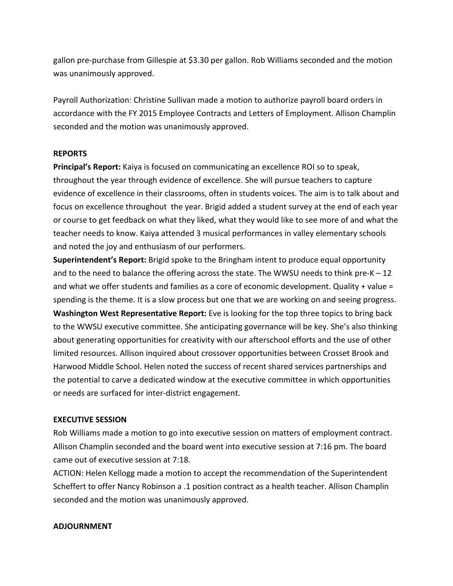gallon pre-purchase from Gillespie at \$3.30 per gallon. Rob Williams seconded and the motion was unanimously approved.

Payroll Authorization: Christine Sullivan made a motion to authorize payroll board orders in accordance with the FY 2015 Employee Contracts and Letters of Employment. Allison Champlin seconded and the motion was unanimously approved.

### **REPORTS**

Principal's Report: Kaiya is focused on communicating an excellence ROI so to speak, throughout the year through evidence of excellence. She will pursue teachers to capture evidence of excellence in their classrooms, often in students voices. The aim is to talk about and focus on excellence throughout the year. Brigid added a student survey at the end of each year or course to get feedback on what they liked, what they would like to see more of and what the teacher needs to know. Kaiya attended 3 musical performances in valley elementary schools and noted the joy and enthusiasm of our performers.

**Superintendent's Report:** Brigid spoke to the Bringham intent to produce equal opportunity and to the need to balance the offering across the state. The WWSU needs to think pre-K – 12 and what we offer students and families as a core of economic development. Quality + value = spending is the theme. It is a slow process but one that we are working on and seeing progress. **Washington West Representative Report:** Eve is looking for the top three topics to bring back to the WWSU executive committee. She anticipating governance will be key. She's also thinking about generating opportunities for creativity with our afterschool efforts and the use of other limited resources. Allison inquired about crossover opportunities between Crosset Brook and Harwood Middle School. Helen noted the success of recent shared services partnerships and the potential to carve a dedicated window at the executive committee in which opportunities or needs are surfaced for inter-district engagement.

#### **EXECUTIVE SESSION**

Rob Williams made a motion to go into executive session on matters of employment contract. Allison Champlin seconded and the board went into executive session at 7:16 pm. The board came out of executive session at 7:18.

ACTION: Helen Kellogg made a motion to accept the recommendation of the Superintendent Scheffert to offer Nancy Robinson a .1 position contract as a health teacher. Allison Champlin seconded and the motion was unanimously approved.

### **ADJOURNMENT**